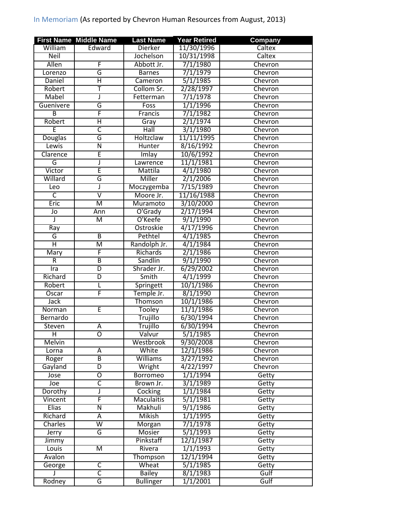## In Memoriam (As reported by Chevron Human Resources from August, 2013)

|                         | <b>First Name Middle Name</b> | <b>Last Name</b>  | <b>Year Retired</b> | <b>Company</b> |
|-------------------------|-------------------------------|-------------------|---------------------|----------------|
| William                 | Edward                        | <b>Dierker</b>    | 11/30/1996          | Caltex         |
| <b>Neil</b>             |                               | Jochelson         | 10/31/1998          | Caltex         |
| Allen                   | F                             | Abbott Jr.        | 7/1/1980            | Chevron        |
| Lorenzo                 | G                             | <b>Barnes</b>     | 7/1/1979            | Chevron        |
| Daniel                  | $\overline{\mathsf{H}}$       | Cameron           | 5/1/1985            | Chevron        |
| Robert                  | т                             | Collom Sr.        | 2/28/1997           | Chevron        |
| Mabel                   | J                             | Fetterman         | 7/1/1978            | Chevron        |
| Guenivere               | G                             | Foss              | 1/1/1996            | Chevron        |
| $\overline{B}$          | F                             | Francis           | 7/1/1982            | Chevron        |
| Robert                  | $\overline{\mathsf{H}}$       | Gray              | 2/1/1974            | Chevron        |
| Έ                       | $\overline{\mathsf{c}}$       | Hall              | 3/1/1980            | Chevron        |
| <b>Douglas</b>          | G                             | Holtzclaw         | 11/11/1995          | Chevron        |
| Lewis                   | $\overline{\mathsf{N}}$       | Hunter            | 8/16/1992           | Chevron        |
| Clarence                | E                             | Imlay             | 10/6/1992           | Chevron        |
| G                       | J                             | Lawrence          | 11/1/1981           | Chevron        |
| Victor                  | Ē                             | Mattila           | 4/1/1980            | Chevron        |
| Willard                 | G                             | Miller            | 2/1/2006            | Chevron        |
| Leo                     | J                             | Moczygemba        | 7/15/1989           | Chevron        |
| $\overline{\mathsf{C}}$ | $\overline{\mathtt{v}}$       | Moore Jr.         | 11/16/1988          | Chevron        |
| Eric                    | M                             | Muramoto          | 3/10/2000           | Chevron        |
| Jo                      | Ann                           | O'Grady           | 2/17/1994           | Chevron        |
| J                       | M                             | O'Keefe           | 9/1/1990            | Chevron        |
| Ray                     |                               | Ostroskie         | 4/17/1996           | Chevron        |
| G                       | $\overline{B}$                | Pethtel           | 4/1/1985            | Chevron        |
| Ή                       | М                             | Randolph Jr.      | 4/1/1984            | Chevron        |
| Mary                    | F                             | Richards          | 2/1/1986            | Chevron        |
| R                       | $\overline{B}$                | Sandlin           | 9/1/1990            | Chevron        |
| Ira                     | D                             | Shrader Jr.       | 6/29/2002           | Chevron        |
| Richard                 | $\overline{D}$                | Smith             | 4/1/1999            | Chevron        |
| Robert                  | L                             | Springett         | 10/1/1986           | Chevron        |
| Oscar                   | F                             | Temple Jr.        | 8/1/1990            | Chevron        |
| <b>Jack</b>             |                               | Thomson           | 10/1/1986           | Chevron        |
| Norman                  | E                             | <b>Tooley</b>     | 11/1/1986           | Chevron        |
| Bernardo                |                               | Trujillo          | 6/30/1994           | Chevron        |
| Steven                  | $\overline{A}$                | Trujillo          | 6/30/1994           | Chevron        |
| $\overline{H}$          | $\overline{\mathsf{o}}$       | Valvur            | 5/1/1985            | Chevron        |
| Melvin                  |                               | Westbrook         | 9/30/2008           | Chevron        |
| Lorna                   | A                             | White             | 12/1/1986           | Chevron        |
| Roger                   | B                             | <b>Williams</b>   | 3/27/1992           | Chevron        |
| Gayland                 | D                             | Wright            | 4/22/1997           | Chevron        |
| Jose                    | 0                             | Borromeo          | 1/1/1994            | Getty          |
| Joe                     | $\overline{\mathsf{c}}$       | Brown Jr.         | 3/1/1989            | Getty          |
| Dorothy                 | J                             | Cocking           | 1/1/1984            | Getty          |
| Vincent                 | F                             | <b>Maculaitis</b> | 5/1/1981            | Getty          |
| <b>Elias</b>            | Ñ                             | Makhuli           | 9/1/1986            | Getty          |
| Richard                 | Α                             | <b>Mikish</b>     | 1/1/1995            | Getty          |
| Charles                 | $\overline{\mathsf{w}}$       | Morgan            | 7/1/1978            | Getty          |
| Jerry                   | G                             | Mosier            | 5/1/1993            | Getty          |
| Jimmy                   |                               | Pinkstaff         | 12/1/1987           | Getty          |
| Louis                   | M                             | Rivera            | 1/1/1993            | Getty          |
| Avalon                  |                               | Thompson          | 12/1/1994           | Getty          |
| George                  | C                             | Wheat             | 5/1/1985            | Getty          |
|                         | $\overline{\mathsf{c}}$       | <b>Bailey</b>     | 8/1/1983            | Gulf           |
| Rodney                  | G                             | <b>Bullinger</b>  | 1/1/2001            | Gulf           |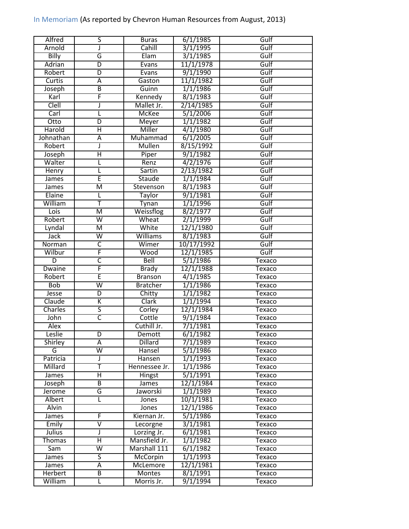## In Memoriam (As reported by Chevron Human Resources from August, 2013)

| Alfred         | 5                       | <b>Buras</b>    | 6/1/1985   | Gulf          |
|----------------|-------------------------|-----------------|------------|---------------|
| Arnold         | J                       | Cahill          | 3/1/1995   | Gulf          |
| Billy          | G                       | Elam            | 3/1/1985   | Gulf          |
| Adrian         | D                       | Evans           | 11/1/1978  | Gulf          |
| Robert         | $\overline{D}$          | Evans           | 9/1/1990   | Gulf          |
| <b>Curtis</b>  | A                       | Gaston          | 11/1/1982  | Gulf          |
| Joseph         | B                       | Guinn           | 1/1/1986   | Gulf          |
| Karl           | F                       | Kennedy         | 8/1/1983   | Gulf          |
| <b>Clell</b>   | J                       | Mallet Jr.      | 2/14/1985  | Gulf          |
| Carl           | L                       | <b>McKee</b>    | 5/1/2006   | Gulf          |
| Otto           | $\overline{\mathsf{D}}$ | Meyer           | 1/1/1982   | Gulf          |
| Harold         | Ή                       | Miller          | 4/1/1980   | Gulf          |
| Johnathan      | Ā                       | Muhammad        | 6/1/2005   | Gulf          |
| Robert         | J                       | <b>Mullen</b>   | 8/15/1992  | Gulf          |
| Joseph         | Η                       | Piper           | 9/1/1982   | Gulf          |
| Walter         |                         | Renz            | 4/2/1976   | Gulf          |
| Henry          | L                       | Sartin          | 2/13/1982  | Gulf          |
| <b>James</b>   | Ē                       | Staude          | 1/1/1984   | Gulf          |
| James          | $\overline{\mathsf{M}}$ | Stevenson       | 8/1/1983   | Gulf          |
| Elaine         |                         | <b>Taylor</b>   | 9/1/1981   | Gulf          |
| William        | Ŧ                       | Tynan           | 1/1/1996   | Gulf          |
| Lois           | $\overline{\mathsf{M}}$ | Weissflog       | 8/2/1977   | Gulf          |
| Robert         | $\overline{\mathsf{w}}$ | Wheat           | 2/1/1999   | Gulf          |
| Lyndal         | M                       | White           | 12/1/1980  | Gulf          |
| <b>Jack</b>    | $\overline{\mathsf{w}}$ | Williams        | 8/1/1983   | Gulf          |
| Norman         | $\overline{\mathsf{c}}$ | Wimer           | 10/17/1992 | Gulf          |
| Wilbur         | F                       | Wood            | 12/1/1985  | Gulf          |
| $\overline{D}$ | $\overline{\mathsf{C}}$ | Bell            | 5/1/1986   | Texaco        |
| <b>Dwaine</b>  | F                       | <b>Brady</b>    | 12/1/1988  | Texaco        |
| Robert         | Ē                       | <b>Branson</b>  | 4/1/1985   | Texaco        |
| <b>Bob</b>     | $\overline{\mathsf{w}}$ | <b>Bratcher</b> | 1/1/1986   | Texaco        |
| Jesse          | D                       | Chitty          | 1/1/1982   | Texaco        |
| Claude         | $\overline{\mathsf{K}}$ | Clark           | 1/1/1994   | Texaco        |
| Charles        | $\overline{\mathsf{s}}$ | Corley          | 12/1/1984  | Texaco        |
| John           | $\overline{\mathsf{C}}$ | Cottle          | 9/1/1984   | Texaco        |
| <b>Alex</b>    |                         | Cuthill Jr.     | 7/1/1981   | <b>Texaco</b> |
| Leslie         | $\overline{D}$          | Demott          | 6/1/1982   | <b>Texaco</b> |
| Shirley        | Α                       | <b>Dillard</b>  | 7/1/1989   | Texaco        |
| G              | $\overline{\mathsf{w}}$ | Hansel          | 5/1/1986   | Texaco        |
| Patricia       | J                       | Hansen          | 1/1/1993   | Texaco        |
| Millard        | Ŧ                       | Hennessee Jr.   | 1/1/1986   | Texaco        |
| James          | Η                       | <b>Hingst</b>   | 5/1/1991   | Texaco        |
| Joseph         | B                       | James           | 12/1/1984  | Texaco        |
| Jerome         | G                       | Jaworski        | 1/1/1989   | Texaco        |
| Albert         |                         | Jones           | 10/1/1981  | Texaco        |
| Alvin          |                         | Jones           | 12/1/1986  | Texaco        |
| James          | F                       | Kiernan Jr.     | 5/1/1986   | Texaco        |
| Emily          | $\overline{\mathsf{V}}$ | Lecorgne        | 3/1/1981   | Texaco        |
| Julius         | J                       | Lorzing Jr.     | 6/1/1981   | Texaco        |
| <b>Thomas</b>  | $\overline{H}$          | Mansfield Jr.   | 1/1/1982   | Texaco        |
| Sam            | $\overline{\mathsf{W}}$ | Marshall 111    | 6/1/1982   | Texaco        |
| James          | 5                       | McCorpin        | 1/1/1993   | Texaco        |
| James          | Α                       | McLemore        | 12/1/1981  | Texaco        |
| Herbert        | B                       | Montes          | 8/1/1991   | Texaco        |
| William        | L                       | Morris Jr.      | 9/1/1994   | Texaco        |